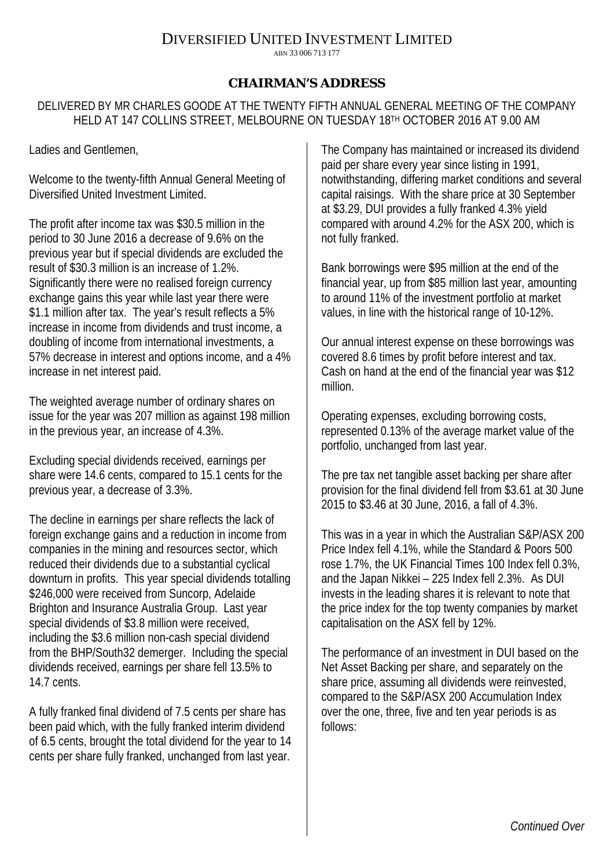## DIVERSIFIED UNITED INVESTMENT LIMITED

ABN 33 006 713 177

## **CHAIRMAN'S ADDRESS**

DELIVERED BY MR CHARLES GOODE AT THE TWENTY FIFTH ANNUAL GENERAL MEETING OF THE COMPANY HELD AT 147 COLLINS STREET, MELBOURNE ON TUESDAY 18TH OCTOBER 2016 AT 9.00 AM

Ladies and Gentlemen,

Welcome to the twenty-fifth Annual General Meeting of Diversified United Investment Limited.

The profit after income tax was \$30.5 million in the period to 30 June 2016 a decrease of 9.6% on the previous year but if special dividends are excluded the result of \$30.3 million is an increase of 1.2%. Significantly there were no realised foreign currency exchange gains this year while last year there were \$1.1 million after tax. The year's result reflects a 5% increase in income from dividends and trust income, a doubling of income from international investments, a 57% decrease in interest and options income, and a 4% increase in net interest paid.

The weighted average number of ordinary shares on issue for the year was 207 million as against 198 million in the previous year, an increase of 4.3%.

Excluding special dividends received, earnings per share were 14.6 cents, compared to 15.1 cents for the previous year, a decrease of 3.3%.

The decline in earnings per share reflects the lack of foreign exchange gains and a reduction in income from companies in the mining and resources sector, which reduced their dividends due to a substantial cyclical downturn in profits. This year special dividends totalling \$246,000 were received from Suncorp, Adelaide Brighton and Insurance Australia Group. Last year special dividends of \$3.8 million were received, including the \$3.6 million non-cash special dividend from the BHP/South32 demerger. Including the special dividends received, earnings per share fell 13.5% to 14.7 cents.

A fully franked final dividend of 7.5 cents per share has been paid which, with the fully franked interim dividend of 6.5 cents, brought the total dividend for the year to 14 cents per share fully franked, unchanged from last year.

The Company has maintained or increased its dividend paid per share every year since listing in 1991, notwithstanding, differing market conditions and several capital raisings. With the share price at 30 September at \$3.29, DUI provides a fully franked 4.3% yield compared with around 4.2% for the ASX 200, which is not fully franked.

Bank borrowings were \$95 million at the end of the financial year, up from \$85 million last year, amounting to around 11% of the investment portfolio at market values, in line with the historical range of 10-12%.

Our annual interest expense on these borrowings was covered 8.6 times by profit before interest and tax. Cash on hand at the end of the financial year was \$12 million.

Operating expenses, excluding borrowing costs, represented 0.13% of the average market value of the portfolio, unchanged from last year.

The pre tax net tangible asset backing per share after provision for the final dividend fell from \$3.61 at 30 June 2015 to \$3.46 at 30 June, 2016, a fall of 4.3%.

This was in a year in which the Australian S&P/ASX 200 Price Index fell 4.1%, while the Standard & Poors 500 rose 1.7%, the UK Financial Times 100 Index fell 0.3%, and the Japan Nikkei – 225 Index fell 2.3%. As DUI invests in the leading shares it is relevant to note that the price index for the top twenty companies by market capitalisation on the ASX fell by 12%.

The performance of an investment in DUI based on the Net Asset Backing per share, and separately on the share price, assuming all dividends were reinvested, compared to the S&P/ASX 200 Accumulation Index over the one, three, five and ten year periods is as follows: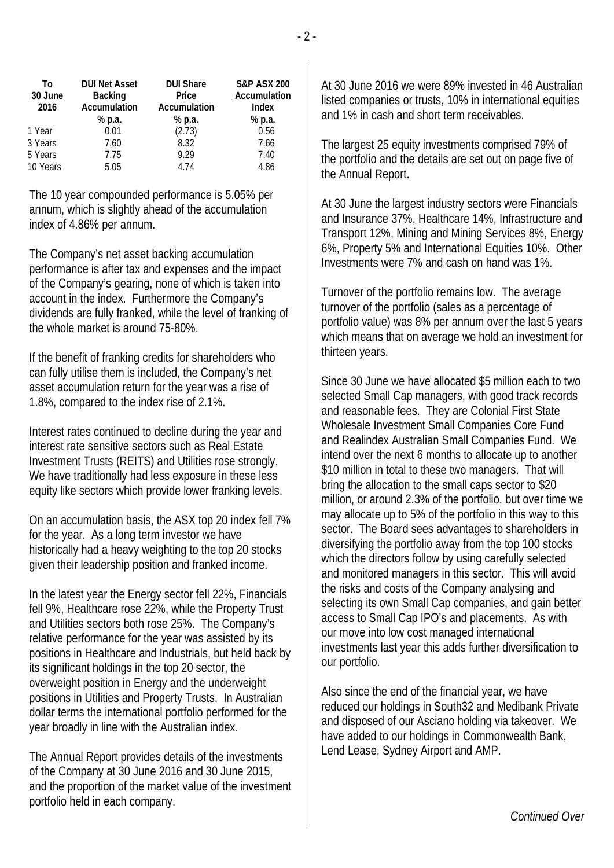| <b>DUI Net Asset</b> | <b>DUI Share</b> | <b>S&amp;P ASX 200</b> |
|----------------------|------------------|------------------------|
| <b>Backing</b>       | Price            | Accumulation           |
|                      |                  | <b>Index</b>           |
| % p.a.               | % p.a.           | % p.a.                 |
| 0.01                 | (2.73)           | 0.56                   |
| 7.60                 | 8.32             | 7.66                   |
| 7.75                 | 9.29             | 7.40                   |
| 5.05                 | 4.74             | 4.86                   |
|                      | Accumulation     | Accumulation           |

The 10 year compounded performance is 5.05% per annum, which is slightly ahead of the accumulation index of 4.86% per annum.

The Company's net asset backing accumulation performance is after tax and expenses and the impact of the Company's gearing, none of which is taken into account in the index. Furthermore the Company's dividends are fully franked, while the level of franking of the whole market is around 75-80%.

If the benefit of franking credits for shareholders who can fully utilise them is included, the Company's net asset accumulation return for the year was a rise of 1.8%, compared to the index rise of 2.1%.

Interest rates continued to decline during the year and interest rate sensitive sectors such as Real Estate Investment Trusts (REITS) and Utilities rose strongly. We have traditionally had less exposure in these less equity like sectors which provide lower franking levels.

On an accumulation basis, the ASX top 20 index fell 7% for the year. As a long term investor we have historically had a heavy weighting to the top 20 stocks given their leadership position and franked income.

In the latest year the Energy sector fell 22%, Financials fell 9%, Healthcare rose 22%, while the Property Trust and Utilities sectors both rose 25%. The Company's relative performance for the year was assisted by its positions in Healthcare and Industrials, but held back by its significant holdings in the top 20 sector, the overweight position in Energy and the underweight positions in Utilities and Property Trusts. In Australian dollar terms the international portfolio performed for the year broadly in line with the Australian index.

The Annual Report provides details of the investments of the Company at 30 June 2016 and 30 June 2015, and the proportion of the market value of the investment portfolio held in each company.

At 30 June 2016 we were 89% invested in 46 Australian listed companies or trusts, 10% in international equities and 1% in cash and short term receivables.

The largest 25 equity investments comprised 79% of the portfolio and the details are set out on page five of the Annual Report.

At 30 June the largest industry sectors were Financials and Insurance 37%, Healthcare 14%, Infrastructure and Transport 12%, Mining and Mining Services 8%, Energy 6%, Property 5% and International Equities 10%. Other Investments were 7% and cash on hand was 1%.

Turnover of the portfolio remains low. The average turnover of the portfolio (sales as a percentage of portfolio value) was 8% per annum over the last 5 years which means that on average we hold an investment for thirteen years.

Since 30 June we have allocated \$5 million each to two selected Small Cap managers, with good track records and reasonable fees. They are Colonial First State Wholesale Investment Small Companies Core Fund and Realindex Australian Small Companies Fund. We intend over the next 6 months to allocate up to another \$10 million in total to these two managers. That will bring the allocation to the small caps sector to \$20 million, or around 2.3% of the portfolio, but over time we may allocate up to 5% of the portfolio in this way to this sector. The Board sees advantages to shareholders in diversifying the portfolio away from the top 100 stocks which the directors follow by using carefully selected and monitored managers in this sector. This will avoid the risks and costs of the Company analysing and selecting its own Small Cap companies, and gain better access to Small Cap IPO's and placements. As with our move into low cost managed international investments last year this adds further diversification to our portfolio.

Also since the end of the financial year, we have reduced our holdings in South32 and Medibank Private and disposed of our Asciano holding via takeover. We have added to our holdings in Commonwealth Bank, Lend Lease, Sydney Airport and AMP.